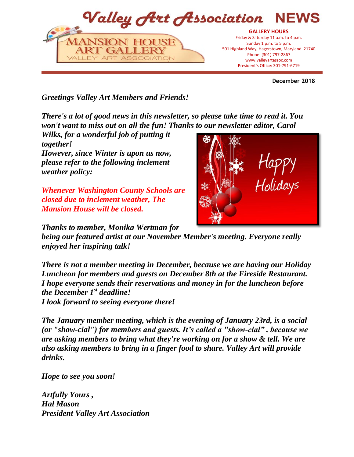

**December 2018**

*Greetings Valley Art Members and Friends!*

*There's a lot of good news in this newsletter, so please take time to read it. You won't want to miss out on all the fun! Thanks to our newsletter editor, Carol* 

*Wilks, for a wonderful job of putting it together! However, since Winter is upon us now, please refer to the following inclement weather policy:*

*Whenever Washington County Schools are closed due to inclement weather, The Mansion House will be closed.*

*Thanks to member, Monika Wertman for* 

*being our featured artist at our November Member's meeting. Everyone really enjoyed her inspiring talk!*

*There is not a member meeting in December, because we are having our Holiday Luncheon for members and guests on December 8th at the Fireside Restaurant. I hope everyone sends their reservations and money in for the luncheon before the December 1st deadline! I look forward to seeing everyone there!*

*The January member meeting, which is the evening of January 23rd, is a social (or "show-cial") for members and guests. It's called a "show-cial" , because we are asking members to bring what they're working on for a show & tell. We are also asking members to bring in a finger food to share. Valley Art will provide drinks.*

*Hope to see you soon!*

*Artfully Yours , Hal Mason President Valley Art Association* 

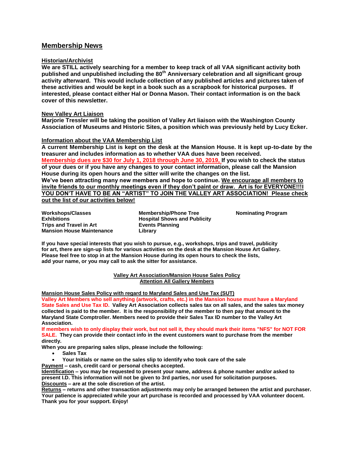### **Membership News**

#### **Historian/Archivist**

**We are STILL actively searching for a member to keep track of all VAA significant activity both published and unpublished including the 80th Anniversary celebration and all significant group activity afterward. This would include collection of any published articles and pictures taken of these activities and would be kept in a book such as a scrapbook for historical purposes. If interested, please contact either Hal or Donna Mason. Their contact information is on the back cover of this newsletter.**

#### **New Valley Art Liaison**

**Marjorie Tressler will be taking the position of Valley Art liaison with the Washington County Association of Museums and Historic Sites, a position which was previously held by Lucy Ecker.**

#### **Information about the VAA Membership List**

**A current Membership List is kept on the desk at the Mansion House. It is kept up-to-date by the treasurer and includes information as to whether VAA dues have been received. Membership dues are \$30 for July 1, 2018 through June 30, 2019, If you wish to check the status of your dues or if you have any changes to your contact information, please call the Mansion House during its open hours and the sitter will write the changes on the list. We've been attracting many new members and hope to continue. We encourage all members to invite friends to our monthly meetings even if they don't paint or draw. Art is for EVERYONE!!!I YOU DON'T HAVE TO BE AN "ARTIST" TO JOIN THE VALLEY ART ASSOCIATION! Please check out the list of our activities below!**

**Workshops/Classes Exhibitions Trips and Travel in Art Mansion House Maintenance**

**Membership/Phone Tree Hospital Shows and Publicity Events Planning Library**

**Nominating Program**

**If you have special interests that you wish to pursue, e.g., workshops, trips and travel, publicity for art, there are sign-up lists for various activities on the desk at the Mansion House Art Gallery. Please feel free to stop in at the Mansion House during its open hours to check the lists, add your name, or you may call to ask the sitter for assistance.**

#### **Valley Art Association/Mansion House Sales Policy Attention All Gallery Members**

**Mansion House Sales Policy with regard to Maryland Sales and Use Tax (SUT)**

**Valley Art Members who sell anything (artwork, crafts, etc.) in the Mansion house must have a Maryland State Sales and Use Tax ID. Valley Art Association collects sales tax on all sales, and the sales tax money collected is paid to the member. It is the responsibility of the member to then pay that amount to the Maryland State Comptroller. Members need to provide their Sales Tax ID number to the Valley Art Association.** 

**If members wish to only display their work, but not sell it, they should mark their items "NFS" for NOT FOR SALE. They can provide their contact info in the event customers want to purchase from the member directly.** 

**When you are preparing sales slips, please include the following:**

- **Sales Tax**
- **Your Initials or name on the sales slip to identify who took care of the sale**
- **Payment – cash, credit card or personal checks accepted.**

**Identification – you may be requested to present your name, address & phone number and/or asked to present I.D. This information will not be given to 3rd parties, nor used for solicitation purposes. Discounts – are at the sole discretion of the artist.**

**Returns – returns and other transaction adjustments may only be arranged between the artist and purchaser. Your patience is appreciated while your art purchase is recorded and processed by VAA volunteer docent. Thank you for your support. Enjoy!**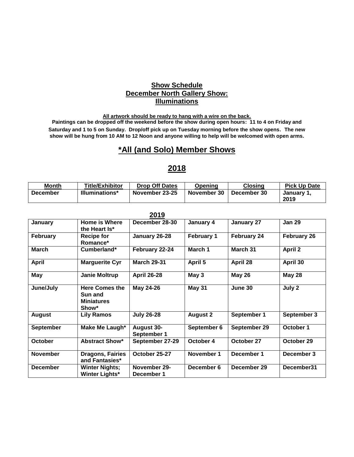## **Show Schedule December North Gallery Show: Illuminations**

**All artwork should be ready to hang with a wire on the back.**

**Paintings can be dropped off the weekend before the show during open hours: 11 to 4 on Friday and Saturday and 1 to 5 on Sunday. Drop/off pick up on Tuesday morning before the show opens. The new show will be hung from 10 AM to 12 Noon and anyone willing to help will be welcomed with open arms.**

# **\*All (and Solo) Member Shows**

# **Month** Title/Exhibitor Drop Off Dates Opening Closing Pick Up Date **December Illuminations\* November 23-25 November 30 December 30 January 1, 2019**

**2018**

|                  |                                                                | 2019                             |                   |                    |                    |
|------------------|----------------------------------------------------------------|----------------------------------|-------------------|--------------------|--------------------|
| January          | <b>Home is Where</b><br>the Heart Is*                          | December 28-30                   | January 4         | January 27         | <b>Jan 29</b>      |
| February         | <b>Recipe for</b><br>Romance*                                  | January 26-28                    | <b>February 1</b> | <b>February 24</b> | <b>February 26</b> |
| <b>March</b>     | Cumberland*                                                    | February 22-24                   | March 1           | March 31           | <b>April 2</b>     |
| <b>April</b>     | <b>Marguerite Cyr</b>                                          | <b>March 29-31</b>               | April 5           | April 28           | April 30           |
| May              | <b>Janie Moltrup</b>                                           | <b>April 26-28</b>               | May 3             | <b>May 26</b>      | <b>May 28</b>      |
| June/July        | <b>Here Comes the</b><br>Sun and<br><b>Miniatures</b><br>Show* | May 24-26                        | <b>May 31</b>     | June 30            | July 2             |
| <b>August</b>    | <b>Lily Ramos</b>                                              | <b>July 26-28</b>                | <b>August 2</b>   | September 1        | September 3        |
| <b>September</b> | Make Me Laugh*                                                 | <b>August 30-</b><br>September 1 | September 6       | September 29       | October 1          |
| <b>October</b>   | <b>Abstract Show*</b>                                          | September 27-29                  | October 4         | October 27         | October 29         |
| <b>November</b>  | <b>Dragons, Fairies</b><br>and Fantasies*                      | October 25-27                    | November 1        | December 1         | December 3         |
| <b>December</b>  | <b>Winter Nights;</b><br><b>Winter Lights*</b>                 | November 29-<br>December 1       | December 6        | December 29        | December31         |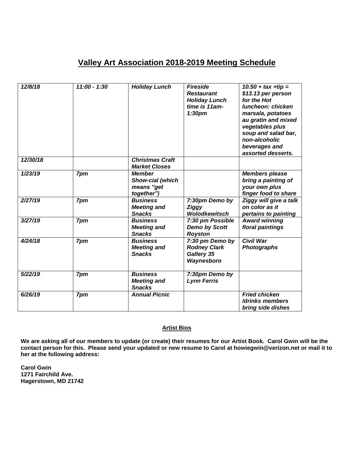# **Valley Art Association 2018-2019 Meeting Schedule**

| 12/8/18  | $11:00 - 1:30$ | <b>Holiday Lunch</b>                                          | <b>Fireside</b><br><b>Restaurant</b><br><b>Holiday Lunch</b><br>time is 11am-<br>1:30 <sub>pm</sub> | $10.50 + tax + tip =$<br>\$13.13 per person<br>for the Hot<br>luncheon: chicken<br>marsala, potatoes<br>au gratin and mixed<br>vegetables plus<br>soup and salad bar,<br>non-alcoholic<br>beverages and<br>assorted desserts. |
|----------|----------------|---------------------------------------------------------------|-----------------------------------------------------------------------------------------------------|-------------------------------------------------------------------------------------------------------------------------------------------------------------------------------------------------------------------------------|
| 12/30/18 |                | <b>Christmas Craft</b><br><b>Market Closes</b>                |                                                                                                     |                                                                                                                                                                                                                               |
| 1/23/19  | 7pm            | <b>Member</b><br>Show-cial (which<br>means "get<br>together") |                                                                                                     | <b>Members please</b><br>bring a painting of<br>your own plus<br>finger food to share                                                                                                                                         |
| 2/27/19  | 7pm            | <b>Business</b><br><b>Meeting and</b><br><b>Snacks</b>        | 7:30pm Demo by<br><b>Ziggy</b><br><b>Wolodkewitsch</b>                                              | Ziggy will give a talk<br>on color as it<br>pertains to painting                                                                                                                                                              |
| 3/27/19  | 7pm            | <b>Business</b><br><b>Meeting and</b><br><b>Snacks</b>        | 7:30 pm Possible<br><b>Demo by Scott</b><br><b>Royston</b>                                          | <b>Award winning</b><br>floral paintings                                                                                                                                                                                      |
| 4/24/18  | 7pm            | <b>Business</b><br><b>Meeting and</b><br><b>Snacks</b>        | 7:30 pm Demo by<br><b>Rodney Clark</b><br>Gallery 35<br>Waynesboro                                  | <b>Civil War</b><br><b>Photographs</b>                                                                                                                                                                                        |
| 5/22/19  | 7pm            | <b>Business</b><br><b>Meeting and</b><br><b>Snacks</b>        | 7:30pm Demo by<br><b>Lynn Ferris</b>                                                                |                                                                                                                                                                                                                               |
| 6/26/19  | 7pm            | <b>Annual Picnic</b>                                          |                                                                                                     | <b>Fried chicken</b><br>/drinks members<br>bring side dishes                                                                                                                                                                  |

#### **Artist Bios**

**We are asking all of our members to update (or create) their resumes for our Artist Book. Carol Gwin will be the contact person for this. Please send your updated or new resume to Carol at howiegwin@verizon.net or mail it to her at the following address:**

**Carol Gwin 1271 Fairchild Ave. Hagerstown, MD 21742**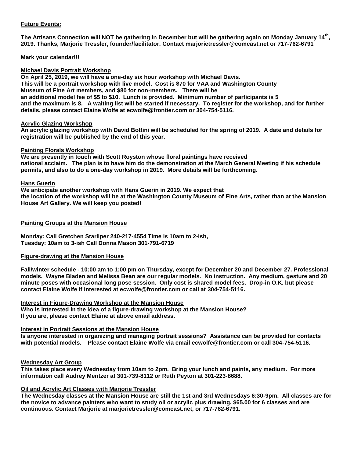#### **Future Events:**

**The Artisans Connection will NOT be gathering in December but will be gathering again on Monday January 14th , 2019. Thanks, Marjorie Tressler, founder/facilitator. Contact marjorietressler@comcast.net or 717-762-6791**

#### **Mark your calendar!!!**

#### **Michael Davis Portrait Workshop**

**On April 25, 2019, we will have a one-day six hour workshop with Michael Davis. This will be a portrait workshop with live model. Cost is \$70 for VAA and Washington County Museum of Fine Art members, and \$80 for non-members. There will be an additional model fee of \$5 to \$10. Lunch is provided. Minimum number of participants is 5 and the maximum is 8. A waiting list will be started if necessary. To register for the workshop, and for further details, please contact Elaine Wolfe at ecwolfe@frontier.com or 304-754-5116.** 

#### **Acrylic Glazing Workshop**

**An acrylic glazing workshop with David Bottini will be scheduled for the spring of 2019. A date and details for registration will be published by the end of this year.**

#### **Painting Florals Workshop**

**We are presently in touch with Scott Royston whose floral paintings have received national acclaim. The plan is to have him do the demonstration at the March General Meeting if his schedule permits, and also to do a one-day workshop in 2019. More details will be forthcoming.**

#### **Hans Guerin**

**We anticipate another workshop with Hans Guerin in 2019. We expect that the location of the workshop will be at the Washington County Museum of Fine Arts, rather than at the Mansion House Art Gallery. We will keep you posted!**

#### **Painting Groups at the Mansion House**

**Monday: Call Gretchen Starliper 240-217-4554 Time is 10am to 2-ish, Tuesday: 10am to 3-ish Call Donna Mason 301-791-6719**

#### **Figure-drawing at the Mansion House**

**Fall/winter schedule - 10:00 am to 1:00 pm on Thursday, except for December 20 and December 27. Professional models. Wayne Bladen and Melissa Bean are our regular models. No instruction. Any medium, gesture and 20 minute poses with occasional long pose session. Only cost is shared model fees. Drop-in O.K. but please contact Elaine Wolfe if interested at ecwolfe@frontier.com or call at 304-754-5116.**

**Interest in Figure-Drawing Workshop at the Mansion House Who is interested in the idea of a figure-drawing workshop at the Mansion House? If you are, please contact Elaine at above email address.**

#### **Interest in Portrait Sessions at the Mansion House**

**Is anyone interested in organizing and managing portrait sessions? Assistance can be provided for contacts with potential models. Please contact Elaine Wolfe via email ecwolfe@frontier.com or call 304-754-5116.** 

#### **Wednesday Art Group**

**This takes place every Wednesday from 10am to 2pm. Bring your lunch and paints, any medium. For more information call Audrey Mentzer at 301-739-8112 or Ruth Peyton at 301-223-8688.**

#### **Oil and Acrylic Art Classes with Marjorie Tressler**

**The Wednesday classes at the Mansion House are still the 1st and 3rd Wednesdays 6:30-9pm. All classes are for the novice to advance painters who want to study oil or acrylic plus drawing. \$65.00 for 6 classes and are continuous. Contact Marjorie at marjorietressler@comcast.net, or 717-762-6791.**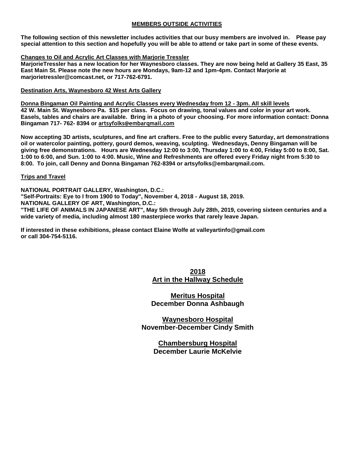#### **MEMBERS OUTSIDE ACTIVITIES**

**The following section of this newsletter includes activities that our busy members are involved in. Please pay special attention to this section and hopefully you will be able to attend or take part in some of these events.**

#### **Changes to Oil and Acrylic Art Classes with Marjorie Tressler**

**MarjorieTressler has a new location for her Waynesboro classes. They are now being held at Gallery 35 East, 35 East Main St. Please note the new hours are Mondays, 9am-12 and 1pm-4pm. Contact Marjorie at marjorietressler@comcast.net, or 717-762-6791.**

#### **Destination Arts, Waynesboro 42 West Arts Gallery**

**Donna Bingaman Oil Painting and Acrylic Classes every Wednesday from 12 - 3pm. All skill levels 42 W. Main St. Waynesboro Pa. \$15 per class. Focus on drawing, tonal values and color in your art work. Easels, tables and chairs are available. Bring in a photo of your choosing. For more information contact: Donna Bingaman 717- 762- 8394 or artsyfolks@embarqmail.com**

**Now accepting 3D artists, sculptures, and fine art crafters. Free to the public every Saturday, art demonstrations oil or watercolor painting, pottery, gourd demos, weaving, sculpting. Wednesdays, Denny Bingaman will be giving free demonstrations. Hours are Wednesday 12:00 to 3:00, Thursday 1:00 to 4:00, Friday 5:00 to 8:00, Sat. 1:00 to 6:00, and Sun. 1:00 to 4:00. Music, Wine and Refreshments are offered every Friday night from 5:30 to 8:00. To join, call Denny and Donna Bingaman 762-8394 or artsyfolks@embarqmail.com.** 

#### **Trips and Travel**

**NATIONAL PORTRAIT GALLERY, Washington, D.C.:**

**"Self-Portraits: Eye to I from 1900 to Today", November 4, 2018 - August 18, 2019.**

**NATIONAL GALLERY OF ART, Washington, D.C.:**

**"THE LIFE OF ANIMALS IN JAPANESE ART", May 5th through July 28th, 2019, covering sixteen centuries and a wide variety of media, including almost 180 masterpiece works that rarely leave Japan.**

**If interested in these exhibitions, please contact Elaine Wolfe at valleyartinfo@gmail.com or call 304-754-5116.**

## **2018 Art in the Hallway Schedule**

**Meritus Hospital December Donna Ashbaugh**

**Waynesboro Hospital November-December Cindy Smith**

> **Chambersburg Hospital December Laurie McKelvie**